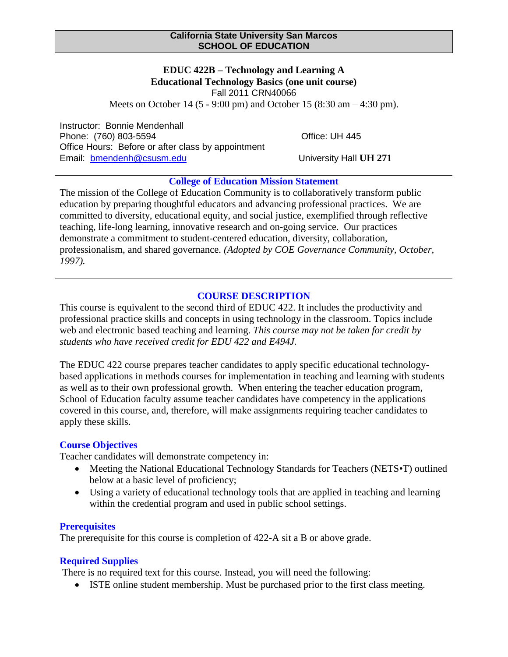# **EDUC 422B – Technology and Learning A Educational Technology Basics (one unit course)**

Fall 2011 CRN40066

Meets on October 14 (5 - 9:00 pm) and October 15 (8:30 am – 4:30 pm).

Instructor: Bonnie Mendenhall Phone: (760) 803-5594 Office: UH 445 Office Hours: Before or after class by appointment Email: **[bmendenh@csusm.edu](mailto:bmendenh@csusm.edu)** University Hall UH 271

#### **College of Education Mission Statement**

The mission of the College of Education Community is to collaboratively transform public education by preparing thoughtful educators and advancing professional practices. We are committed to diversity, educational equity, and social justice, exemplified through reflective teaching, life-long learning, innovative research and on-going service. Our practices demonstrate a commitment to student-centered education, diversity, collaboration, professionalism, and shared governance. *(Adopted by COE Governance Community, October, 1997).*

### **COURSE DESCRIPTION**

This course is equivalent to the second third of EDUC 422. It includes the productivity and professional practice skills and concepts in using technology in the classroom. Topics include web and electronic based teaching and learning. *This course may not be taken for credit by students who have received credit for EDU 422 and E494J.*

The EDUC 422 course prepares teacher candidates to apply specific educational technologybased applications in methods courses for implementation in teaching and learning with students as well as to their own professional growth. When entering the teacher education program, School of Education faculty assume teacher candidates have competency in the applications covered in this course, and, therefore, will make assignments requiring teacher candidates to apply these skills.

### **Course Objectives**

Teacher candidates will demonstrate competency in:

- Meeting the National Educational Technology Standards for Teachers (NETS•T) outlined below at a basic level of proficiency;
- Using a variety of educational technology tools that are applied in teaching and learning within the credential program and used in public school settings.

### **Prerequisites**

The prerequisite for this course is completion of 422-A sit a B or above grade.

### **Required Supplies**

There is no required text for this course. Instead, you will need the following:

ISTE online student membership. Must be purchased prior to the first class meeting.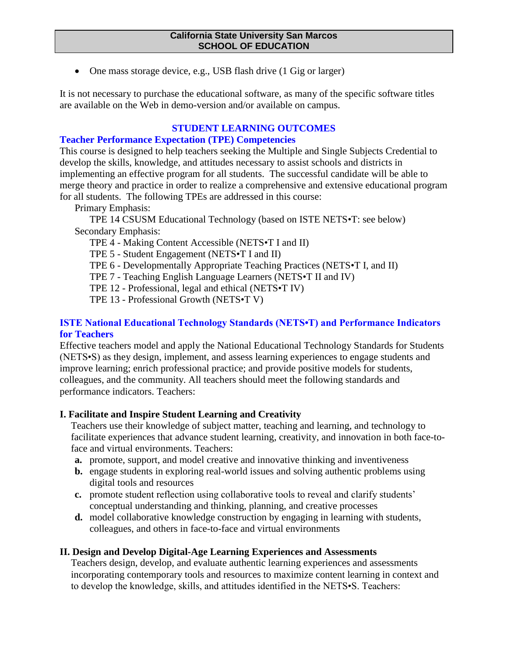One mass storage device, e.g., USB flash drive (1 Gig or larger)

It is not necessary to purchase the educational software, as many of the specific software titles are available on the Web in demo-version and/or available on campus.

#### **STUDENT LEARNING OUTCOMES**

#### **Teacher Performance Expectation (TPE) Competencies**

This course is designed to help teachers seeking the Multiple and Single Subjects Credential to develop the skills, knowledge, and attitudes necessary to assist schools and districts in implementing an effective program for all students. The successful candidate will be able to merge theory and practice in order to realize a comprehensive and extensive educational program for all students. The following TPEs are addressed in this course:

Primary Emphasis:

TPE 14 CSUSM Educational Technology (based on ISTE NETS•T: see below) Secondary Emphasis:

TPE 4 - Making Content Accessible (NETS•T I and II)

TPE 5 - Student Engagement (NETS•T I and II)

TPE 6 - Developmentally Appropriate Teaching Practices (NETS•T I, and II)

TPE 7 - Teaching English Language Learners (NETS•T II and IV)

TPE 12 - Professional, legal and ethical (NETS•T IV)

TPE 13 - Professional Growth (NETS•T V)

### **ISTE National Educational Technology Standards (NETS•T) and Performance Indicators for Teachers**

Effective teachers model and apply the National Educational Technology Standards for Students (NETS•S) as they design, implement, and assess learning experiences to engage students and improve learning; enrich professional practice; and provide positive models for students, colleagues, and the community. All teachers should meet the following standards and performance indicators. Teachers:

### **I. Facilitate and Inspire Student Learning and Creativity**

Teachers use their knowledge of subject matter, teaching and learning, and technology to facilitate experiences that advance student learning, creativity, and innovation in both face-toface and virtual environments. Teachers:

- **a.** promote, support, and model creative and innovative thinking and inventiveness
- **b.** engage students in exploring real-world issues and solving authentic problems using digital tools and resources
- **c.** promote student reflection using collaborative tools to reveal and clarify students' conceptual understanding and thinking, planning, and creative processes
- **d.** model collaborative knowledge construction by engaging in learning with students, colleagues, and others in face-to-face and virtual environments

### **II. Design and Develop Digital-Age Learning Experiences and Assessments**

Teachers design, develop, and evaluate authentic learning experiences and assessments incorporating contemporary tools and resources to maximize content learning in context and to develop the knowledge, skills, and attitudes identified in the NETS•S. Teachers: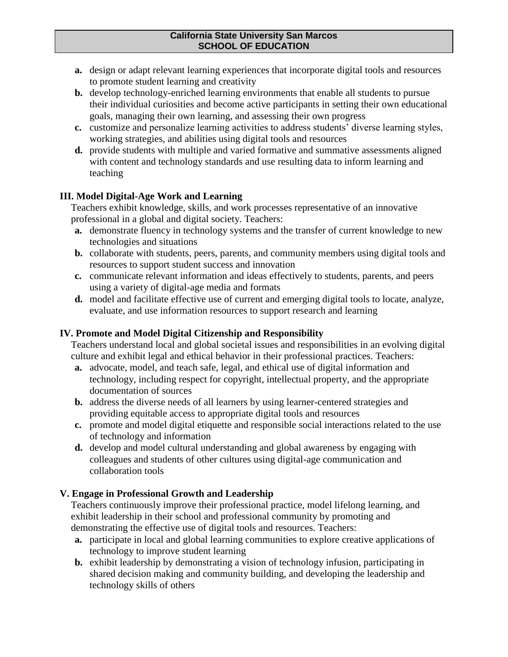- **a.** design or adapt relevant learning experiences that incorporate digital tools and resources to promote student learning and creativity
- **b.** develop technology-enriched learning environments that enable all students to pursue their individual curiosities and become active participants in setting their own educational goals, managing their own learning, and assessing their own progress
- **c.** customize and personalize learning activities to address students' diverse learning styles, working strategies, and abilities using digital tools and resources
- **d.** provide students with multiple and varied formative and summative assessments aligned with content and technology standards and use resulting data to inform learning and teaching

## **III. Model Digital-Age Work and Learning**

Teachers exhibit knowledge, skills, and work processes representative of an innovative professional in a global and digital society. Teachers:

- **a.** demonstrate fluency in technology systems and the transfer of current knowledge to new technologies and situations
- **b.** collaborate with students, peers, parents, and community members using digital tools and resources to support student success and innovation
- **c.** communicate relevant information and ideas effectively to students, parents, and peers using a variety of digital-age media and formats
- **d.** model and facilitate effective use of current and emerging digital tools to locate, analyze, evaluate, and use information resources to support research and learning

### **IV. Promote and Model Digital Citizenship and Responsibility**

Teachers understand local and global societal issues and responsibilities in an evolving digital culture and exhibit legal and ethical behavior in their professional practices. Teachers:

- **a.** advocate, model, and teach safe, legal, and ethical use of digital information and technology, including respect for copyright, intellectual property, and the appropriate documentation of sources
- **b.** address the diverse needs of all learners by using learner-centered strategies and providing equitable access to appropriate digital tools and resources
- **c.** promote and model digital etiquette and responsible social interactions related to the use of technology and information
- **d.** develop and model cultural understanding and global awareness by engaging with colleagues and students of other cultures using digital-age communication and collaboration tools

### **V. Engage in Professional Growth and Leadership**

Teachers continuously improve their professional practice, model lifelong learning, and exhibit leadership in their school and professional community by promoting and demonstrating the effective use of digital tools and resources. Teachers:

- **a.** participate in local and global learning communities to explore creative applications of technology to improve student learning
- **b.** exhibit leadership by demonstrating a vision of technology infusion, participating in shared decision making and community building, and developing the leadership and technology skills of others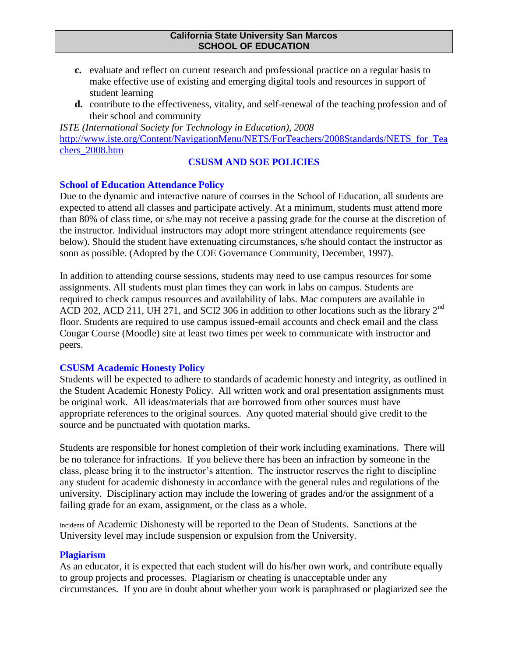- **c.** evaluate and reflect on current research and professional practice on a regular basis to make effective use of existing and emerging digital tools and resources in support of student learning
- **d.** contribute to the effectiveness, vitality, and self-renewal of the teaching profession and of their school and community

*ISTE (International Society for Technology in Education), 2008* [http://www.iste.org/Content/NavigationMenu/NETS/ForTeachers/2008Standards/NETS\\_for\\_Tea](http://www.iste.org/Content/NavigationMenu/NETS/ForTeachers/2008Standards/NETS_for_Teachers_2008.htm) [chers\\_2008.htm](http://www.iste.org/Content/NavigationMenu/NETS/ForTeachers/2008Standards/NETS_for_Teachers_2008.htm)

### **CSUSM AND SOE POLICIES**

#### **School of Education Attendance Policy**

Due to the dynamic and interactive nature of courses in the School of Education, all students are expected to attend all classes and participate actively. At a minimum, students must attend more than 80% of class time, or s/he may not receive a passing grade for the course at the discretion of the instructor. Individual instructors may adopt more stringent attendance requirements (see below). Should the student have extenuating circumstances, s/he should contact the instructor as soon as possible. (Adopted by the COE Governance Community, December, 1997).

In addition to attending course sessions, students may need to use campus resources for some assignments. All students must plan times they can work in labs on campus. Students are required to check campus resources and availability of labs. Mac computers are available in ACD 202, ACD 211, UH 271, and SCI2 306 in addition to other locations such as the library  $2<sup>nd</sup>$ floor. Students are required to use campus issued-email accounts and check email and the class Cougar Course (Moodle) site at least two times per week to communicate with instructor and peers.

### **CSUSM Academic Honesty Policy**

Students will be expected to adhere to standards of academic honesty and integrity, as outlined in the Student Academic Honesty Policy. All written work and oral presentation assignments must be original work. All ideas/materials that are borrowed from other sources must have appropriate references to the original sources. Any quoted material should give credit to the source and be punctuated with quotation marks.

Students are responsible for honest completion of their work including examinations. There will be no tolerance for infractions. If you believe there has been an infraction by someone in the class, please bring it to the instructor's attention. The instructor reserves the right to discipline any student for academic dishonesty in accordance with the general rules and regulations of the university. Disciplinary action may include the lowering of grades and/or the assignment of a failing grade for an exam, assignment, or the class as a whole.

Incidents of Academic Dishonesty will be reported to the Dean of Students. Sanctions at the University level may include suspension or expulsion from the University.

#### **Plagiarism**

As an educator, it is expected that each student will do his/her own work, and contribute equally to group projects and processes. Plagiarism or cheating is unacceptable under any circumstances. If you are in doubt about whether your work is paraphrased or plagiarized see the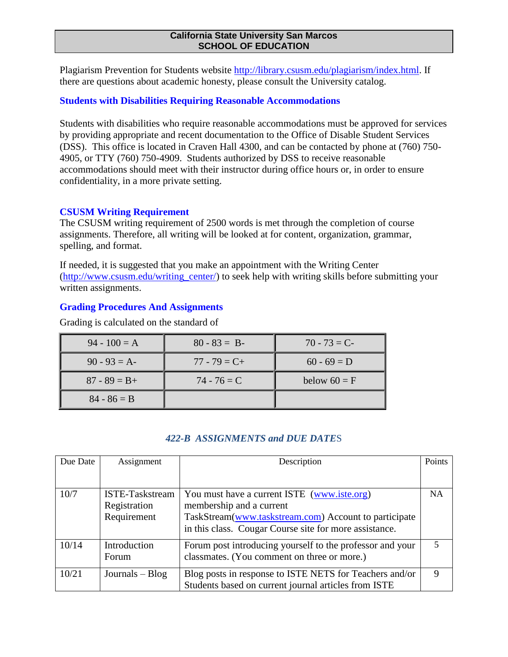Plagiarism Prevention for Students website [http://library.csusm.edu/plagiarism/index.html.](http://library.csusm.edu/plagiarism/index.html) If there are questions about academic honesty, please consult the University catalog.

#### **Students with Disabilities Requiring Reasonable Accommodations**

Students with disabilities who require reasonable accommodations must be approved for services by providing appropriate and recent documentation to the Office of Disable Student Services (DSS). This office is located in Craven Hall 4300, and can be contacted by phone at (760) 750- 4905, or TTY (760) 750-4909. Students authorized by DSS to receive reasonable accommodations should meet with their instructor during office hours or, in order to ensure confidentiality, in a more private setting.

#### **CSUSM Writing Requirement**

The CSUSM writing requirement of 2500 words is met through the completion of course assignments. Therefore, all writing will be looked at for content, organization, grammar, spelling, and format.

If needed, it is suggested that you make an appointment with the Writing Center [\(http://www.csusm.edu/writing\\_center/\)](http://www.csusm.edu/writing_center/) to seek help with writing skills before submitting your written assignments.

#### **Grading Procedures And Assignments**

Grading is calculated on the standard of

| $94 - 100 = A$  | $80 - 83 = B$   | $70 - 73 = C$  |
|-----------------|-----------------|----------------|
| $90 - 93 = A$   | $77 - 79 = C +$ | $60 - 69 = D$  |
| $87 - 89 = B +$ | $74 - 76 = C$   | below $60 = F$ |
| $84 - 86 = B$   |                 |                |

### *422-B ASSIGNMENTS and DUE DATE*S

| Due Date | Assignment             | Description                                               | Points |
|----------|------------------------|-----------------------------------------------------------|--------|
|          |                        |                                                           |        |
| 10/7     | <b>ISTE-Taskstream</b> | You must have a current ISTE (www.iste.org)               | NA.    |
|          | Registration           | membership and a current                                  |        |
|          | Requirement            | TaskStream(www.taskstream.com) Account to participate     |        |
|          |                        | in this class. Cougar Course site for more assistance.    |        |
| 10/14    | Introduction           | Forum post introducing yourself to the professor and your | 5      |
|          | Forum                  | classmates. (You comment on three or more.)               |        |
| 10/21    | $Journals - Blog$      | Blog posts in response to ISTE NETS for Teachers and/or   | 9      |
|          |                        | Students based on current journal articles from ISTE      |        |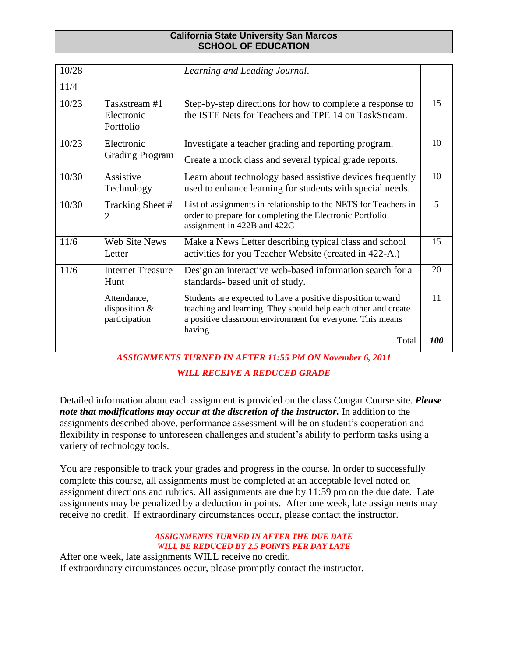| 10/28 |                                               | Learning and Leading Journal.                                                                                                                                                                       |                   |
|-------|-----------------------------------------------|-----------------------------------------------------------------------------------------------------------------------------------------------------------------------------------------------------|-------------------|
| 11/4  |                                               |                                                                                                                                                                                                     |                   |
| 10/23 | Taskstream #1<br>Electronic<br>Portfolio      | Step-by-step directions for how to complete a response to<br>the ISTE Nets for Teachers and TPE 14 on TaskStream.                                                                                   | 15                |
| 10/23 | Electronic<br><b>Grading Program</b>          | Investigate a teacher grading and reporting program.<br>Create a mock class and several typical grade reports.                                                                                      | 10                |
| 10/30 | Assistive<br>Technology                       | Learn about technology based assistive devices frequently<br>used to enhance learning for students with special needs.                                                                              | 10                |
| 10/30 | Tracking Sheet #<br>$\overline{2}$            | List of assignments in relationship to the NETS for Teachers in<br>order to prepare for completing the Electronic Portfolio<br>assignment in 422B and 422C                                          | 5                 |
| 11/6  | <b>Web Site News</b><br>Letter                | Make a News Letter describing typical class and school<br>activities for you Teacher Website (created in 422-A.)                                                                                    | 15                |
| 11/6  | <b>Internet Treasure</b><br>Hunt              | Design an interactive web-based information search for a<br>standards- based unit of study.                                                                                                         | 20                |
|       | Attendance,<br>disposition &<br>participation | Students are expected to have a positive disposition toward<br>teaching and learning. They should help each other and create<br>a positive classroom environment for everyone. This means<br>having | 11                |
|       |                                               | Total                                                                                                                                                                                               | <i><b>100</b></i> |

*ASSIGNMENTS TURNED IN AFTER 11:55 PM ON November 6, 2011*

### *WILL RECEIVE A REDUCED GRADE*

Detailed information about each assignment is provided on the class Cougar Course site. *Please note that modifications may occur at the discretion of the instructor.* In addition to the assignments described above, performance assessment will be on student's cooperation and flexibility in response to unforeseen challenges and student's ability to perform tasks using a variety of technology tools.

You are responsible to track your grades and progress in the course. In order to successfully complete this course, all assignments must be completed at an acceptable level noted on assignment directions and rubrics. All assignments are due by 11:59 pm on the due date. Late assignments may be penalized by a deduction in points. After one week, late assignments may receive no credit. If extraordinary circumstances occur, please contact the instructor.

#### *ASSIGNMENTS TURNED IN AFTER THE DUE DATE WILL BE REDUCED BY 2.5 POINTS PER DAY LATE*

After one week, late assignments WILL receive no credit. If extraordinary circumstances occur, please promptly contact the instructor.